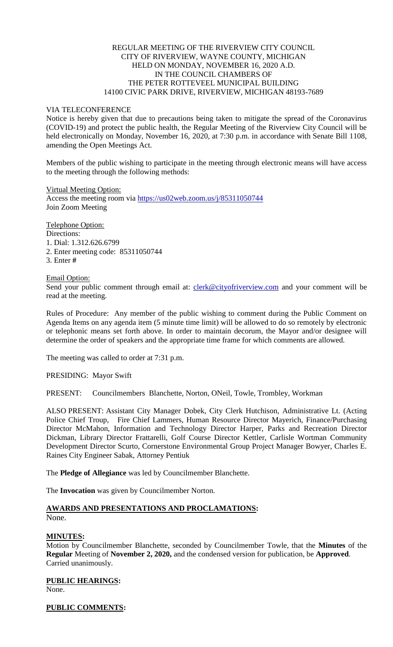# REGULAR MEETING OF THE RIVERVIEW CITY COUNCIL CITY OF RIVERVIEW, WAYNE COUNTY, MICHIGAN HELD ON MONDAY, NOVEMBER 16, 2020 A.D. IN THE COUNCIL CHAMBERS OF THE PETER ROTTEVEEL MUNICIPAL BUILDING 14100 CIVIC PARK DRIVE, RIVERVIEW, MICHIGAN 48193-7689

## VIA TELECONFERENCE

Notice is hereby given that due to precautions being taken to mitigate the spread of the Coronavirus (COVID-19) and protect the public health, the Regular Meeting of the Riverview City Council will be held electronically on Monday, November 16, 2020, at 7:30 p.m. in accordance with Senate Bill 1108, amending the Open Meetings Act.

Members of the public wishing to participate in the meeting through electronic means will have access to the meeting through the following methods:

Virtual Meeting Option: Access the meeting room via [https://us02web.zoom.us/j/85311050744](https://www.google.com/url?q=https%3A%2F%2Fus02web.zoom.us%2Fj%2F85311050744&sa=D&ust=1605536504808000&usg=AOvVaw1oJuqENe6dlQ_CSTP4Bl9W) Join Zoom Meeting

Telephone Option: Directions: 1. Dial: 1.312.626.6799 2. Enter meeting code: 85311050744 3. Enter **#**

## Email Option:

Send your public comment through email at: [clerk@cityofriverview.com](mailto:clerk@cityofriverview.com) and your comment will be read at the meeting.

Rules of Procedure: Any member of the public wishing to comment during the Public Comment on Agenda Items on any agenda item (5 minute time limit) will be allowed to do so remotely by electronic or telephonic means set forth above. In order to maintain decorum, the Mayor and/or designee will determine the order of speakers and the appropriate time frame for which comments are allowed.

The meeting was called to order at 7:31 p.m.

PRESIDING: Mayor Swift

PRESENT: Councilmembers Blanchette, Norton, ONeil, Towle, Trombley, Workman

ALSO PRESENT: Assistant City Manager Dobek, City Clerk Hutchison, Administrative Lt. (Acting Police Chief Troup, Fire Chief Lammers, Human Resource Director Mayerich, Finance/Purchasing Director McMahon, Information and Technology Director Harper, Parks and Recreation Director Dickman, Library Director Frattarelli, Golf Course Director Kettler, Carlisle Wortman Community Development Director Scurto, Cornerstone Environmental Group Project Manager Bowyer, Charles E. Raines City Engineer Sabak, Attorney Pentiuk

The **Pledge of Allegiance** was led by Councilmember Blanchette.

The **Invocation** was given by Councilmember Norton.

## **AWARDS AND PRESENTATIONS AND PROCLAMATIONS:** None.

# **MINUTES:**

Motion by Councilmember Blanchette, seconded by Councilmember Towle, that the **Minutes** of the **Regular** Meeting of **November 2, 2020,** and the condensed version for publication, be **Approved**. Carried unanimously.

**PUBLIC HEARINGS:** None.

**PUBLIC COMMENTS:**